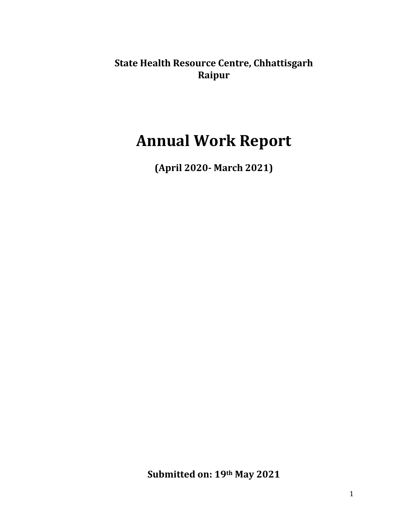**State Health Resource Centre, Chhattisgarh Raipur**

# **Annual Work Report**

**(April 2020‐ March 2021)**

**Submitted on: 19th May 2021**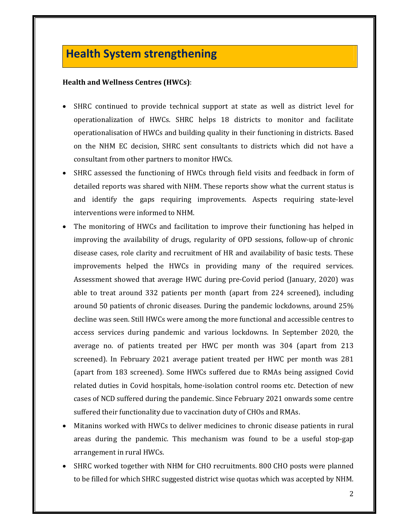# **Health System strengthening**

#### **Health and Wellness Centres (HWCs)**:

- SHRC continued to provide technical support at state as well as district level for operationalization of HWCs. SHRC helps 18 districts to monitor and facilitate operationalisation of HWCs and building quality in their functioning in districts. Based on the NHM EC decision, SHRC sent consultants to districts which did not have a consultant from other partners to monitor HWCs.
- SHRC assessed the functioning of HWCs through field visits and feedback in form of detailed reports was shared with NHM. These reports show what the current status is and identify the gaps requiring improvements. Aspects requiring state-level interventions were informed to NHM.
- The monitoring of HWCs and facilitation to improve their functioning has helped in improving the availability of drugs, regularity of OPD sessions, follow-up of chronic disease cases, role clarity and recruitment of HR and availability of basic tests. These improvements helped the HWCs in providing many of the required services. Assessment showed that average HWC during pre-Covid period (January,  $2020$ ) was able to treat around  $332$  patients per month (apart from  $224$  screened), including around 50 patients of chronic diseases. During the pandemic lockdowns, around 25% decline was seen. Still HWCs were among the more functional and accessible centres to access services during pandemic and various lockdowns. In September 2020, the average no. of patients treated per HWC per month was  $304$  (apart from  $213$ ) screened). In February 2021 average patient treated per HWC per month was 281 (apart from 183 screened). Some HWCs suffered due to RMAs being assigned Covid related duties in Covid hospitals, home-isolation control rooms etc. Detection of new cases of NCD suffered during the pandemic. Since February 2021 onwards some centre suffered their functionality due to vaccination duty of CHOs and RMAs.
- Mitanins worked with HWCs to deliver medicines to chronic disease patients in rural areas during the pandemic. This mechanism was found to be a useful stop-gap arrangement in rural HWCs.
- SHRC worked together with NHM for CHO recruitments. 800 CHO posts were planned to be filled for which SHRC suggested district wise quotas which was accepted by NHM.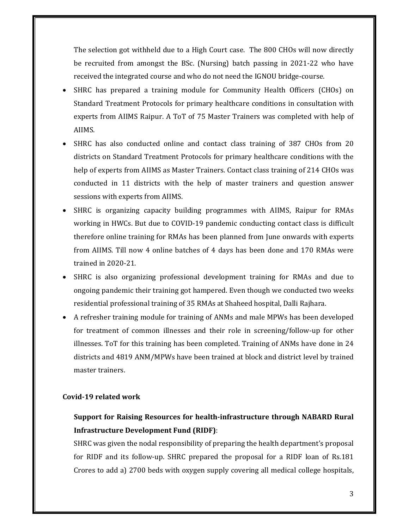The selection got withheld due to a High Court case. The 800 CHOs will now directly be recruited from amongst the BSc. (Nursing) batch passing in  $2021-22$  who have received the integrated course and who do not need the IGNOU bridge-course.

- SHRC has prepared a training module for Community Health Officers (CHOs) on Standard Treatment Protocols for primary healthcare conditions in consultation with experts from AIIMS Raipur. A ToT of 75 Master Trainers was completed with help of AIIMS.
- SHRC has also conducted online and contact class training of 387 CHOs from 20 districts on Standard Treatment Protocols for primary healthcare conditions with the help of experts from AIIMS as Master Trainers. Contact class training of 214 CHOs was conducted in 11 districts with the help of master trainers and question answer sessions with experts from AIIMS.
- SHRC is organizing capacity building programmes with AIIMS, Raipur for RMAs working in HWCs. But due to COVID-19 pandemic conducting contact class is difficult therefore online training for RMAs has been planned from June onwards with experts from AIIMS. Till now 4 online batches of 4 days has been done and 170 RMAs were trained in  $2020 - 21$ .
- SHRC is also organizing professional development training for RMAs and due to ongoing pandemic their training got hampered. Even though we conducted two weeks residential professional training of 35 RMAs at Shaheed hospital, Dalli Rajhara.
- A refresher training module for training of ANMs and male MPWs has been developed for treatment of common illnesses and their role in screening/follow-up for other illnesses. ToT for this training has been completed. Training of ANMs have done in  $24$ districts and 4819 ANM/MPWs have been trained at block and district level by trained master trainers.

#### **Covid‐19 related work**

# **Support for Raising Resources for health‐infrastructure through NABARD Rural Infrastructure Development Fund (RIDF)**:

SHRC was given the nodal responsibility of preparing the health department's proposal for RIDF and its follow-up. SHRC prepared the proposal for a RIDF loan of Rs.181 Crores to add a) 2700 beds with oxygen supply covering all medical college hospitals,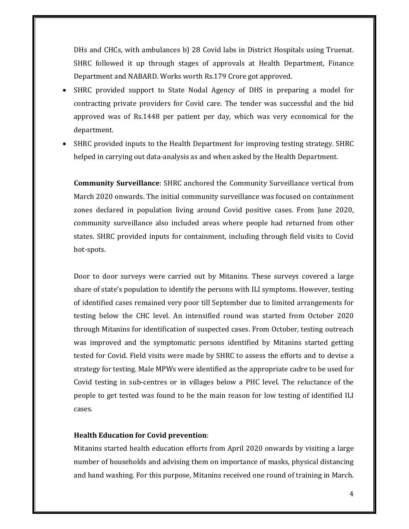DHs and CHCs, with ambulances b) 28 Covid labs in District Hospitals using Truenat. SHRC followed it up through stages of approvals at Health Department, Finance Department and NABARD. Works worth Rs.179 Crore got approved.

- SHRC provided support to State Nodal Agency of DHS in preparing a model for contracting private providers for Covid care. The tender was successful and the bid approved was of Rs.1448 per patient per day, which was very economical for the department.
- SHRC provided inputs to the Health Department for improving testing strategy. SHRC helped in carrying out data-analysis as and when asked by the Health Department.

**Community Surveillance:** SHRC anchored the Community Surveillance vertical from March 2020 onwards. The initial community surveillance was focused on containment zones declared in population living around Covid positive cases. From June 2020, community surveillance also included areas where people had returned from other states. SHRC provided inputs for containment, including through field visits to Covid hot‐spots. 

Door to door surveys were carried out by Mitanins. These surveys covered a large share of state's population to identify the persons with ILI symptoms. However, testing of identified cases remained very poor till September due to limited arrangements for testing below the CHC level. An intensified round was started from October 2020 through Mitanins for identification of suspected cases. From October, testing outreach was improved and the symptomatic persons identified by Mitanins started getting tested for Covid. Field visits were made by SHRC to assess the efforts and to devise a strategy for testing. Male MPWs were identified as the appropriate cadre to be used for Covid testing in sub-centres or in villages below a PHC level. The reluctance of the people to get tested was found to be the main reason for low testing of identified ILI cases. 

#### **Health Education for Covid prevention**:

Mitanins started health education efforts from April 2020 onwards by visiting a large number of households and advising them on importance of masks, physical distancing and hand washing. For this purpose, Mitanins received one round of training in March.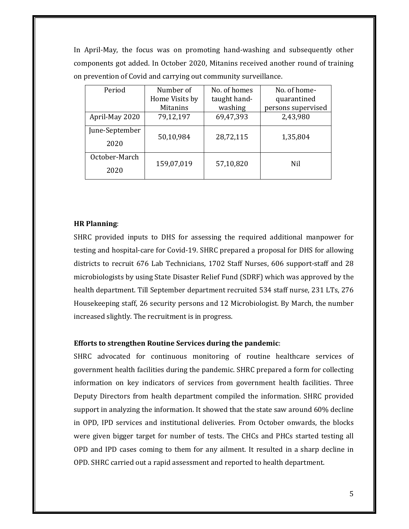In April–May, the focus was on promoting hand–washing and subsequently other components got added. In October 2020, Mitanins received another round of training on prevention of Covid and carrying out community surveillance.

| Period         | Number of       | No. of homes | No. of home-       |
|----------------|-----------------|--------------|--------------------|
|                | Home Visits by  | taught hand- | quarantined        |
|                | <b>Mitanins</b> | washing      | persons supervised |
| April-May 2020 | 79,12,197       | 69,47,393    | 2,43,980           |
| June-September | 50,10,984       | 28,72,115    | 1,35,804           |
| 2020           |                 |              |                    |
| October-March  |                 |              |                    |
| 2020           | 159,07,019      | 57,10,820    | Nil                |

#### **HR Planning**:

SHRC provided inputs to DHS for assessing the required additional manpower for testing and hospital-care for Covid-19. SHRC prepared a proposal for DHS for allowing districts to recruit 676 Lab Technicians, 1702 Staff Nurses, 606 support-staff and 28 microbiologists by using State Disaster Relief Fund (SDRF) which was approved by the health department. Till September department recruited 534 staff nurse, 231 LTs, 276 Housekeeping staff, 26 security persons and 12 Microbiologist. By March, the number increased slightly. The recruitment is in progress.

#### **Efforts to strengthen Routine Services during the pandemic**:

SHRC advocated for continuous monitoring of routine healthcare services of government health facilities during the pandemic. SHRC prepared a form for collecting information on key indicators of services from government health facilities. Three Deputy Directors from health department compiled the information. SHRC provided support in analyzing the information. It showed that the state saw around  $60\%$  decline in OPD, IPD services and institutional deliveries. From October onwards, the blocks were given bigger target for number of tests. The CHCs and PHCs started testing all OPD and IPD cases coming to them for any ailment. It resulted in a sharp decline in OPD. SHRC carried out a rapid assessment and reported to health department.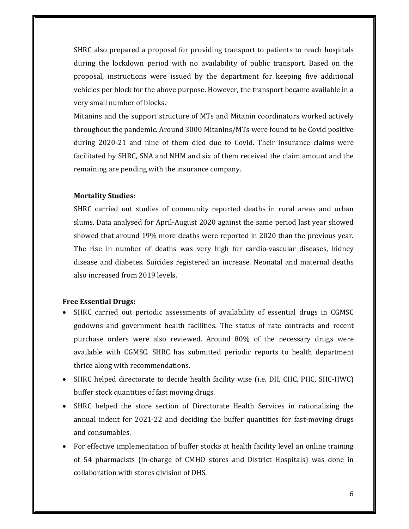SHRC also prepared a proposal for providing transport to patients to reach hospitals during the lockdown period with no availability of public transport. Based on the proposal, instructions were issued by the department for keeping five additional vehicles per block for the above purpose. However, the transport became available in a very small number of blocks.

Mitanins and the support structure of MTs and Mitanin coordinators worked actively throughout the pandemic. Around 3000 Mitanins/MTs were found to be Covid positive during 2020-21 and nine of them died due to Covid. Their insurance claims were facilitated by SHRC, SNA and NHM and six of them received the claim amount and the remaining are pending with the insurance company.

#### **Mortality Studies**:

SHRC carried out studies of community reported deaths in rural areas and urban slums. Data analysed for April-August 2020 against the same period last year showed showed that around 19% more deaths were reported in 2020 than the previous year. The rise in number of deaths was very high for cardio-vascular diseases, kidney disease and diabetes. Suicides registered an increase. Neonatal and maternal deaths also increased from 2019 levels.

#### **Free Essential Drugs:**

- SHRC carried out periodic assessments of availability of essential drugs in CGMSC godowns and government health facilities. The status of rate contracts and recent purchase orders were also reviewed. Around 80% of the necessary drugs were available with CGMSC. SHRC has submitted periodic reports to health department thrice along with recommendations.
- SHRC helped directorate to decide health facility wise (i.e. DH, CHC, PHC, SHC-HWC) buffer stock quantities of fast moving drugs.
- SHRC helped the store section of Directorate Health Services in rationalizing the annual indent for  $2021-22$  and deciding the buffer quantities for fast-moving drugs and consumables.
- For effective implementation of buffer stocks at health facility level an online training of 54 pharmacists (in-charge of CMHO stores and District Hospitals) was done in collaboration with stores division of DHS.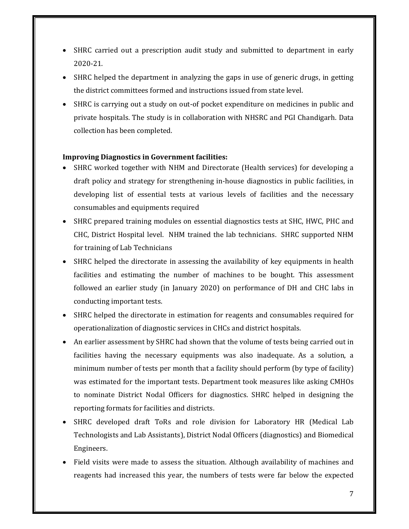- SHRC carried out a prescription audit study and submitted to department in early 2020‐21.
- SHRC helped the department in analyzing the gaps in use of generic drugs, in getting the district committees formed and instructions issued from state level.
- SHRC is carrying out a study on out-of pocket expenditure on medicines in public and private hospitals. The study is in collaboration with NHSRC and PGI Chandigarh. Data collection has been completed.

#### **Improving Diagnostics in Government facilities:**

- SHRC worked together with NHM and Directorate (Health services) for developing a draft policy and strategy for strengthening in-house diagnostics in public facilities, in developing list of essential tests at various levels of facilities and the necessary consumables and equipments required
- SHRC prepared training modules on essential diagnostics tests at SHC, HWC, PHC and CHC, District Hospital level. NHM trained the lab technicians. SHRC supported NHM for training of Lab Technicians
- SHRC helped the directorate in assessing the availability of key equipments in health facilities and estimating the number of machines to be bought. This assessment followed an earlier study (in January 2020) on performance of DH and CHC labs in conducting important tests.
- SHRC helped the directorate in estimation for reagents and consumables required for operationalization of diagnostic services in CHCs and district hospitals.
- An earlier assessment by SHRC had shown that the volume of tests being carried out in facilities having the necessary equipments was also inadequate. As a solution, a minimum number of tests per month that a facility should perform (by type of facility) was estimated for the important tests. Department took measures like asking CMHOs to nominate District Nodal Officers for diagnostics. SHRC helped in designing the reporting formats for facilities and districts.
- SHRC developed draft ToRs and role division for Laboratory HR (Medical Lab Technologists and Lab Assistants), District Nodal Officers (diagnostics) and Biomedical Engineers.
- Field visits were made to assess the situation. Although availability of machines and reagents had increased this year, the numbers of tests were far below the expected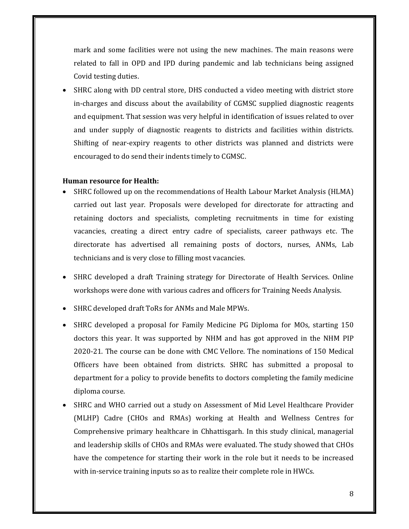mark and some facilities were not using the new machines. The main reasons were related to fall in OPD and IPD during pandemic and lab technicians being assigned Covid testing duties.

SHRC along with DD central store, DHS conducted a video meeting with district store in-charges and discuss about the availability of CGMSC supplied diagnostic reagents and equipment. That session was very helpful in identification of issues related to over and under supply of diagnostic reagents to districts and facilities within districts. Shifting of near-expiry reagents to other districts was planned and districts were encouraged to do send their indents timely to CGMSC.

#### **Human resource for Health:**

- SHRC followed up on the recommendations of Health Labour Market Analysis (HLMA) carried out last year. Proposals were developed for directorate for attracting and retaining doctors and specialists, completing recruitments in time for existing vacancies, creating a direct entry cadre of specialists, career pathways etc. The directorate has advertised all remaining posts of doctors, nurses, ANMs, Lab technicians and is very close to filling most vacancies.
- SHRC developed a draft Training strategy for Directorate of Health Services. Online workshops were done with various cadres and officers for Training Needs Analysis.
- SHRC developed draft ToRs for ANMs and Male MPWs.
- SHRC developed a proposal for Family Medicine PG Diploma for MOs, starting 150 doctors this year. It was supported by NHM and has got approved in the NHM PIP 2020-21. The course can be done with CMC Vellore. The nominations of 150 Medical Officers have been obtained from districts. SHRC has submitted a proposal to department for a policy to provide benefits to doctors completing the family medicine diploma course.
- SHRC and WHO carried out a study on Assessment of Mid Level Healthcare Provider (MLHP) Cadre (CHOs and RMAs) working at Health and Wellness Centres for Comprehensive primary healthcare in Chhattisgarh. In this study clinical, managerial and leadership skills of CHOs and RMAs were evaluated. The study showed that CHOs have the competence for starting their work in the role but it needs to be increased with in-service training inputs so as to realize their complete role in HWCs.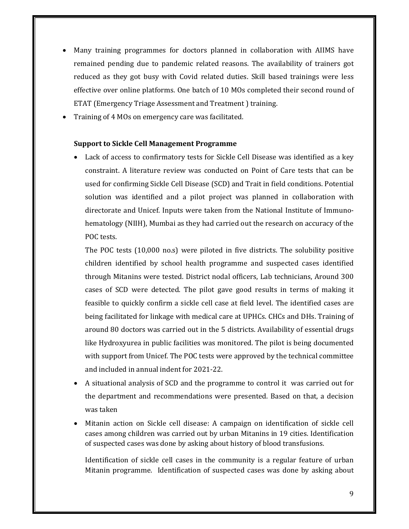- Many training programmes for doctors planned in collaboration with AIIMS have remained pending due to pandemic related reasons. The availability of trainers got reduced as they got busy with Covid related duties. Skill based trainings were less effective over online platforms. One batch of 10 MOs completed their second round of ETAT (Emergency Triage Assessment and Treatment) training.
- Training of 4 MOs on emergency care was facilitated.

#### **Support to Sickle Cell Management Programme**

Lack of access to confirmatory tests for Sickle Cell Disease was identified as a key constraint. A literature review was conducted on Point of Care tests that can be used for confirming Sickle Cell Disease (SCD) and Trait in field conditions. Potential solution was identified and a pilot project was planned in collaboration with directorate and Unicef. Inputs were taken from the National Institute of Immunohematology (NIIH), Mumbai as they had carried out the research on accuracy of the POC tests.

The POC tests  $(10,000 \text{ no.s})$  were piloted in five districts. The solubility positive children identified by school health programme and suspected cases identified through Mitanins were tested. District nodal officers, Lab technicians, Around 300 cases of SCD were detected. The pilot gave good results in terms of making it feasible to quickly confirm a sickle cell case at field level. The identified cases are being facilitated for linkage with medical care at UPHCs. CHCs and DHs. Training of around 80 doctors was carried out in the 5 districts. Availability of essential drugs like Hydroxyurea in public facilities was monitored. The pilot is being documented with support from Unicef. The POC tests were approved by the technical committee and included in annual indent for 2021-22.

- A situational analysis of SCD and the programme to control it was carried out for the department and recommendations were presented. Based on that, a decision was taken
- Mitanin action on Sickle cell disease: A campaign on identification of sickle cell cases among children was carried out by urban Mitanins in 19 cities. Identification of suspected cases was done by asking about history of blood transfusions.

Identification of sickle cell cases in the community is a regular feature of urban Mitanin programme. Identification of suspected cases was done by asking about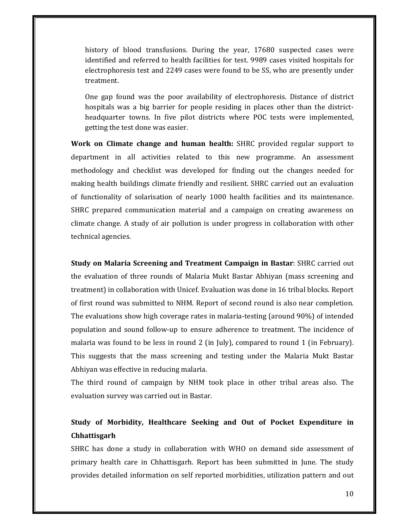history of blood transfusions. During the year, 17680 suspected cases were identified and referred to health facilities for test. 9989 cases visited hospitals for electrophoresis test and 2249 cases were found to be SS, who are presently under treatment. 

One gap found was the poor availability of electrophoresis. Distance of district hospitals was a big barrier for people residing in places other than the districtheadquarter towns. In five pilot districts where POC tests were implemented, getting the test done was easier.

**Work on Climate change and human health:** SHRC provided regular support to department in all activities related to this new programme. An assessment methodology and checklist was developed for finding out the changes needed for making health buildings climate friendly and resilient. SHRC carried out an evaluation of functionality of solarisation of nearly 1000 health facilities and its maintenance. SHRC prepared communication material and a campaign on creating awareness on climate change. A study of air pollution is under progress in collaboration with other technical agencies.

**Study on Malaria Screening and Treatment Campaign in Bastar**: SHRC carried out the evaluation of three rounds of Malaria Mukt Bastar Abhiyan (mass screening and treatment) in collaboration with Unicef. Evaluation was done in 16 tribal blocks. Report of first round was submitted to NHM. Report of second round is also near completion. The evaluations show high coverage rates in malaria-testing (around 90%) of intended population and sound follow-up to ensure adherence to treatment. The incidence of malaria was found to be less in round 2 (in July), compared to round 1 (in February). This suggests that the mass screening and testing under the Malaria Mukt Bastar Abhiyan was effective in reducing malaria.

The third round of campaign by NHM took place in other tribal areas also. The evaluation survey was carried out in Bastar.

# **Study of Morbidity, Healthcare Seeking and Out of Pocket Expenditure in Chhattisgarh**

SHRC has done a study in collaboration with WHO on demand side assessment of primary health care in Chhattisgarh. Report has been submitted in June. The study provides detailed information on self reported morbidities, utilization pattern and out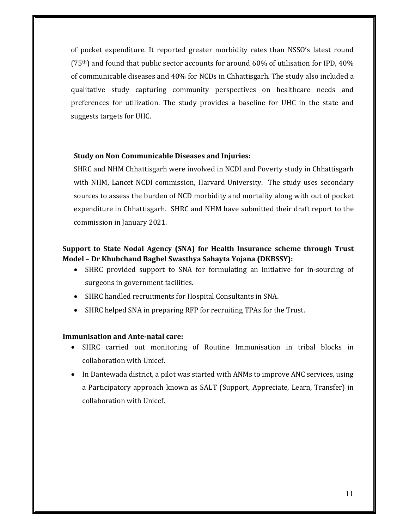of pocket expenditure. It reported greater morbidity rates than NSSO's latest round  $(75<sup>th</sup>)$  and found that public sector accounts for around 60% of utilisation for IPD, 40% of communicable diseases and 40% for NCDs in Chhattisgarh. The study also included a qualitative study capturing community perspectives on healthcare needs and preferences for utilization. The study provides a baseline for UHC in the state and suggests targets for UHC.

#### **Study on Non Communicable Diseases and Injuries:**

SHRC and NHM Chhattisgarh were involved in NCDI and Poverty study in Chhattisgarh with NHM, Lancet NCDI commission, Harvard University. The study uses secondary sources to assess the burden of NCD morbidity and mortality along with out of pocket expenditure in Chhattisgarh. SHRC and NHM have submitted their draft report to the commission in January 2021.

## **Support to State Nodal Agency (SNA) for Health Insurance scheme through Trust Model – Dr Khubchand Baghel Swasthya Sahayta Yojana (DKBSSY):**

- SHRC provided support to SNA for formulating an initiative for in-sourcing of surgeons in government facilities.
- SHRC handled recruitments for Hospital Consultants in SNA.
- SHRC helped SNA in preparing RFP for recruiting TPAs for the Trust.

#### **Immunisation and Ante‐natal care:**

- SHRC carried out monitoring of Routine Immunisation in tribal blocks in collaboration with Unicef.
- In Dantewada district, a pilot was started with ANMs to improve ANC services, using a Participatory approach known as SALT (Support, Appreciate, Learn, Transfer) in collaboration with Unicef.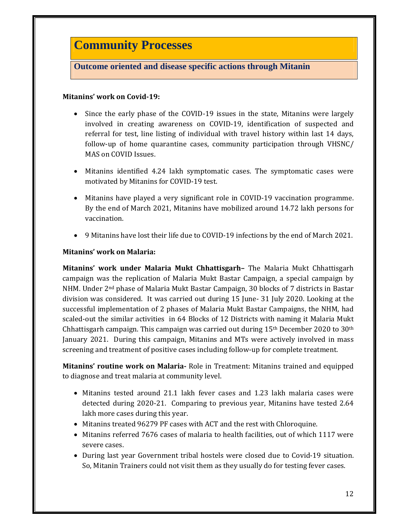# **Community Processes**

# **Outcome oriented and disease specific actions through Mitanin**

#### **Mitanins' work on Covid‐19:**

- Since the early phase of the COVID-19 issues in the state, Mitanins were largely involved in creating awareness on COVID-19, identification of suspected and referral for test, line listing of individual with travel history within last 14 days, follow-up of home quarantine cases, community participation through VHSNC/ MAS on COVID Issues.
- Mitanins identified 4.24 lakh symptomatic cases. The symptomatic cases were motivated by Mitanins for COVID-19 test.
- Mitanins have played a very significant role in COVID-19 vaccination programme. By the end of March 2021, Mitanins have mobilized around 14.72 lakh persons for vaccination.
- 9 Mitanins have lost their life due to COVID-19 infections by the end of March 2021.

#### **Mitanins' work on Malaria:**

**Mitanins' work under Malaria Mukt Chhattisgarh–** The Malaria Mukt Chhattisgarh campaign was the replication of Malaria Mukt Bastar Campaign, a special campaign by NHM. Under  $2<sup>nd</sup>$  phase of Malaria Mukt Bastar Campaign, 30 blocks of 7 districts in Bastar division was considered. It was carried out during  $15$  June  $-31$  July 2020. Looking at the successful implementation of 2 phases of Malaria Mukt Bastar Campaigns, the NHM, had scaled-out the similar activities in 64 Blocks of 12 Districts with naming it Malaria Mukt Chhattisgarh campaign. This campaign was carried out during  $15<sup>th</sup>$  December 2020 to 30<sup>th</sup> January 2021. During this campaign, Mitanins and MTs were actively involved in mass screening and treatment of positive cases including follow-up for complete treatment.

**Mitanins' routine work on Malaria** Role in Treatment: Mitanins trained and equipped to diagnose and treat malaria at community level.

- Mitanins tested around 21.1 lakh fever cases and 1.23 lakh malaria cases were detected during 2020-21. Comparing to previous year, Mitanins have tested 2.64 lakh more cases during this year.
- Mitanins treated 96279 PF cases with ACT and the rest with Chloroquine.
- $\bullet$  Mitanins referred 7676 cases of malaria to health facilities, out of which 1117 were severe cases.
- During last year Government tribal hostels were closed due to Covid-19 situation. So, Mitanin Trainers could not visit them as they usually do for testing fever cases.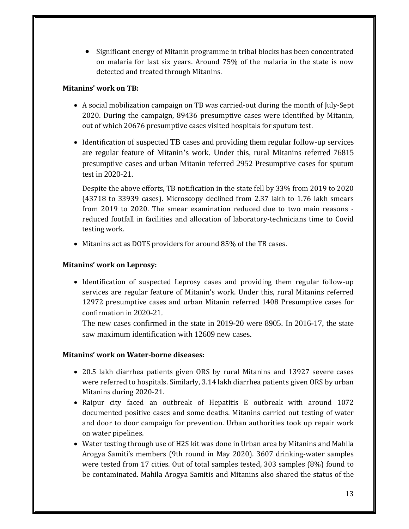• Significant energy of Mitanin programme in tribal blocks has been concentrated on malaria for last six years. Around 75% of the malaria in the state is now detected and treated through Mitanins.

#### **Mitanins' work on TB:**

- A social mobilization campaign on TB was carried-out during the month of July-Sept 2020. During the campaign, 89436 presumptive cases were identified by Mitanin, out of which 20676 presumptive cases visited hospitals for sputum test.
- Identification of suspected TB cases and providing them regular follow-up services are regular feature of Mitanin's work. Under this, rural Mitanins referred 76815 presumptive cases and urban Mitanin referred 2952 Presumptive cases for sputum test in 2020-21.

Despite the above efforts, TB notification in the state fell by 33% from 2019 to 2020  $(43718$  to  $33939$  cases). Microscopy declined from 2.37 lakh to 1.76 lakh smears from 2019 to 2020. The smear examination reduced due to two main reasons reduced footfall in facilities and allocation of laboratory-technicians time to Covid testing work.

• Mitanins act as DOTS providers for around 85% of the TB cases.

#### **Mitanins' work on Leprosy:**

• Identification of suspected Leprosy cases and providing them regular follow-up services are regular feature of Mitanin's work. Under this, rural Mitanins referred 12972 presumptive cases and urban Mitanin referred 1408 Presumptive cases for confirmation in 2020-21.

The new cases confirmed in the state in 2019-20 were 8905. In 2016-17, the state saw maximum identification with 12609 new cases.

#### **Mitanins' work on Water‐borne diseases:**

- 20.5 lakh diarrhea patients given ORS by rural Mitanins and 13927 severe cases were referred to hospitals. Similarly, 3.14 lakh diarrhea patients given ORS by urban Mitanins during 2020-21.
- Raipur city faced an outbreak of Hepatitis E outbreak with around 1072 documented positive cases and some deaths. Mitanins carried out testing of water and door to door campaign for prevention. Urban authorities took up repair work on water pipelines.
- Water testing through use of H2S kit was done in Urban area by Mitanins and Mahila Arogya Samiti's members (9th round in May 2020). 3607 drinking-water samples were tested from 17 cities. Out of total samples tested, 303 samples  $(8\%)$  found to be contaminated. Mahila Arogya Samitis and Mitanins also shared the status of the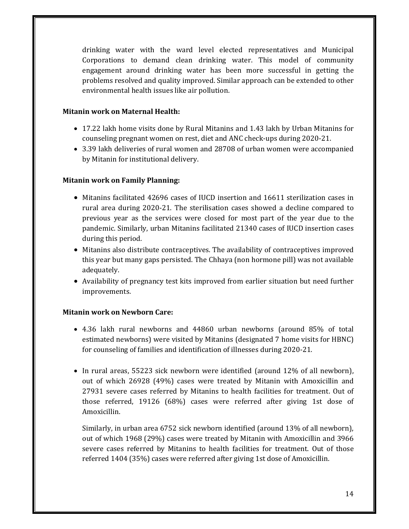drinking water with the ward level elected representatives and Municipal Corporations to demand clean drinking water. This model of community engagement around drinking water has been more successful in getting the problems resolved and quality improved. Similar approach can be extended to other environmental health issues like air pollution.

#### **Mitanin work on Maternal Health:**

- 17.22 lakh home visits done by Rural Mitanins and 1.43 lakh by Urban Mitanins for counseling pregnant women on rest, diet and ANC check-ups during 2020-21.
- 3.39 lakh deliveries of rural women and 28708 of urban women were accompanied by Mitanin for institutional delivery.

# **Mitanin work on Family Planning:**

- Mitanins facilitated 42696 cases of IUCD insertion and 16611 sterilization cases in rural area during 2020-21. The sterilisation cases showed a decline compared to previous year as the services were closed for most part of the year due to the pandemic. Similarly, urban Mitanins facilitated 21340 cases of IUCD insertion cases during this period.
- Mitanins also distribute contraceptives. The availability of contraceptives improved this year but many gaps persisted. The Chhaya (non hormone pill) was not available adequately.
- Availability of pregnancy test kits improved from earlier situation but need further improvements.

# **Mitanin work on Newborn Care:**

- 4.36 lakh rural newborns and 44860 urban newborns (around 85% of total estimated newborns) were visited by Mitanins (designated 7 home visits for HBNC) for counseling of families and identification of illnesses during 2020-21.
- In rural areas, 55223 sick newborn were identified (around 12% of all newborn), out of which 26928 (49%) cases were treated by Mitanin with Amoxicillin and 27931 severe cases referred by Mitanins to health facilities for treatment. Out of those referred, 19126 (68%) cases were referred after giving 1st dose of Amoxicillin.

Similarly, in urban area  $6752$  sick newborn identified (around  $13\%$  of all newborn), out of which 1968 (29%) cases were treated by Mitanin with Amoxicillin and 3966 severe cases referred by Mitanins to health facilities for treatment. Out of those referred 1404 (35%) cases were referred after giving 1st dose of Amoxicillin.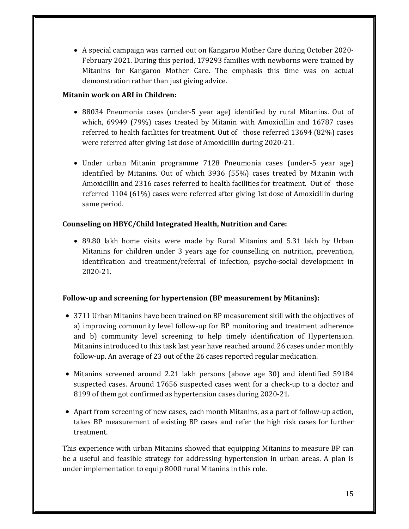• A special campaign was carried out on Kangaroo Mother Care during October 2020-February 2021. During this period, 179293 families with newborns were trained by Mitanins for Kangaroo Mother Care. The emphasis this time was on actual demonstration rather than just giving advice.

## **Mitanin work on ARI in Children:**

- 88034 Pneumonia cases (under-5 year age) identified by rural Mitanins. Out of which,  $69949$  (79%) cases treated by Mitanin with Amoxicillin and  $16787$  cases referred to health facilities for treatment. Out of those referred  $13694$  (82%) cases were referred after giving 1st dose of Amoxicillin during 2020-21.
- Under urban Mitanin programme 7128 Pneumonia cases (under-5 year age) identified by Mitanins. Out of which 3936 (55%) cases treated by Mitanin with Amoxicillin and 2316 cases referred to health facilities for treatment. Out of those referred  $1104$  (61%) cases were referred after giving 1st dose of Amoxicillin during same period.

# **Counseling on HBYC/Child Integrated Health, Nutrition and Care:**

• 89.80 lakh home visits were made by Rural Mitanins and 5.31 lakh by Urban Mitanins for children under 3 years age for counselling on nutrition, prevention, identification and treatment/referral of infection, psycho-social development in 2020‐21. 

# **Follow‐up and screening for hypertension (BP measurement by Mitanins):**

- 3711 Urban Mitanins have been trained on BP measurement skill with the objectives of a) improving community level follow-up for BP monitoring and treatment adherence and b) community level screening to help timely identification of Hypertension. Mitanins introduced to this task last year have reached around 26 cases under monthly follow-up. An average of 23 out of the 26 cases reported regular medication.
- Mitanins screened around 2.21 lakh persons (above age 30) and identified 59184 suspected cases. Around 17656 suspected cases went for a check-up to a doctor and 8199 of them got confirmed as hypertension cases during 2020-21.
- Apart from screening of new cases, each month Mitanins, as a part of follow-up action, takes BP measurement of existing BP cases and refer the high risk cases for further treatment.

This experience with urban Mitanins showed that equipping Mitanins to measure BP can be a useful and feasible strategy for addressing hypertension in urban areas. A plan is under implementation to equip 8000 rural Mitanins in this role.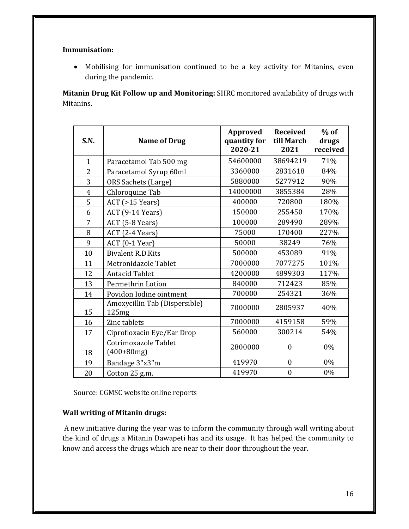#### **Immunisation:**

• Mobilising for immunisation continued to be a key activity for Mitanins, even during the pandemic.

**Mitanin Drug Kit Follow up and Monitoring:** SHRC monitored availability of drugs with Mitanins. 

| <b>S.N.</b>    | <b>Name of Drug</b>                    | Approved<br>quantity for<br>2020-21 | <b>Received</b><br>till March<br>2021 | $%$ of<br>drugs<br>received |
|----------------|----------------------------------------|-------------------------------------|---------------------------------------|-----------------------------|
| $\mathbf{1}$   | Paracetamol Tab 500 mg                 | 54600000                            | 38694219                              | 71%                         |
| $\overline{c}$ | Paracetamol Syrup 60ml                 | 3360000                             | 2831618                               | 84%                         |
| 3              | <b>ORS Sachets (Large)</b>             | 5880000                             | 5277912                               | 90%                         |
| $\overline{4}$ | Chloroquine Tab                        | 14000000                            | 3855384                               | 28%                         |
| 5              | $ACT$ (>15 Years)                      | 400000                              | 720800                                | 180%                        |
| 6              | ACT (9-14 Years)                       | 150000                              | 255450                                | 170%                        |
| 7              | ACT (5-8 Years)                        | 100000                              | 289490                                | 289%                        |
| 8              | ACT (2-4 Years)                        | 75000                               | 170400                                | 227%                        |
| 9              | $ACT (0-1 Year)$                       | 50000                               | 38249                                 | 76%                         |
| 10             | <b>Bivalent R.D.Kits</b>               | 500000                              | 453089                                | 91%                         |
| 11             | Metronidazole Tablet                   | 7000000                             | 7077275                               | 101%                        |
| 12             | <b>Antacid Tablet</b>                  | 4200000                             | 4899303                               | 117%                        |
| 13             | Permethrin Lotion                      | 840000                              | 712423                                | 85%                         |
| 14             | Povidon Iodine ointment                | 700000                              | 254321                                | 36%                         |
| 15             | Amoxycillin Tab (Dispersible)<br>125mg | 7000000                             | 2805937                               | 40%                         |
| 16             | Zinc tablets                           | 7000000                             | 4159158                               | 59%                         |
| 17             | Ciprofloxacin Eye/Ear Drop             | 560000                              | 300214                                | 54%                         |
| 18             | Cotrimoxazole Tablet<br>$(400+80mg)$   | 2800000                             | $\mathbf{0}$                          | 0%                          |
| 19             | Bandage 3"x3"m                         | 419970                              | $\mathbf{0}$                          | 0%                          |
| 20             | Cotton 25 g.m.                         | 419970                              | $\boldsymbol{0}$                      | 0%                          |

Source: CGMSC website online reports

#### **Wall writing of Mitanin drugs:**

A new initiative during the year was to inform the community through wall writing about the kind of drugs a Mitanin Dawapeti has and its usage. It has helped the community to know and access the drugs which are near to their door throughout the year.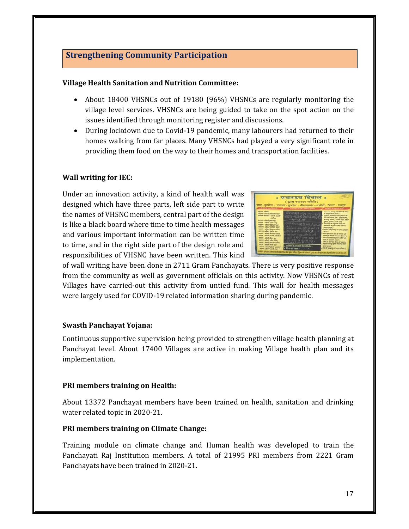# **Strengthening Community Participation**

#### **Village Health Sanitation and Nutrition Committee:**

- About 18400 VHSNCs out of 19180 (96%) VHSNCs are regularly monitoring the village level services. VHSNCs are being guided to take on the spot action on the issues identified through monitoring register and discussions.
- During lockdown due to Covid-19 pandemic, many labourers had returned to their homes walking from far places. Many VHSNCs had played a very significant role in providing them food on the way to their homes and transportation facilities.

#### **Wall** writing for **IEC**:

Under an innovation activity, a kind of health wall was designed which have three parts, left side part to write the names of VHSNC members, central part of the design is like a black board where time to time health messages and various important information can be written time to time, and in the right side part of the design role and responsibilities of VHSNC have been written. This kind

| refletis in warftbacky.                                                                                                                                                                                                                                                                                                                                                                                                                                | स्वास्ट्य विवाल •<br>( साम स्वास्टव मसिति)<br>ग्राम-कुमरेल , पंजावत-कुचरेल , विकासखंड-धरसीवों, रहिला - शबपुर<br>Contract of the Contract of the Contract of the Contract of the Contract of the Contract of                                                                                                                                                                                                                                                   | <b>Contacts as agreed and a</b>                                                                                                                                                                                                                                                                                                                                                                                                                                                                           |
|--------------------------------------------------------------------------------------------------------------------------------------------------------------------------------------------------------------------------------------------------------------------------------------------------------------------------------------------------------------------------------------------------------------------------------------------------------|---------------------------------------------------------------------------------------------------------------------------------------------------------------------------------------------------------------------------------------------------------------------------------------------------------------------------------------------------------------------------------------------------------------------------------------------------------------|-----------------------------------------------------------------------------------------------------------------------------------------------------------------------------------------------------------------------------------------------------------------------------------------------------------------------------------------------------------------------------------------------------------------------------------------------------------------------------------------------------------|
| <b>MAZZIEL ABANK</b><br>your flushes finite appear<br>during thereby satisfast analytic<br>ment - aftest you my<br><b>MARK ARMS</b><br>every - when delout ing<br>recor - which withe answ<br>recent - wheel arenus alto<br>weare, about patterneer<br>form found follow the<br>shoft inter alon<br>ye well that are<br>surer, affect she share<br>were what pover more<br>iteret - allash adult war<br>secure-aduct their permet<br>new boys balls in | <b>Christian - Alf and</b><br>को ने सामान को रूपनी में अपने राज<br>$2 + 6\sqrt{6}$ ) $2 + 6\sqrt{7}$<br>SPG-40 (SSNR 2) 3/12 20mg-00<br>and want are 497 at any 2.5<br>The A of De-World Au<br><b>DORFIELD AND LIKE CLASS</b><br>and of the new more transmitted<br><b>Redes of the American</b><br>- artificity as strongly along the as-<br>हर पोर्टल एक 1987 1987 का एक बारे से अधिक की कहा है कि उनकी को नहीं और उन्हें सुपर कर से साथ करने के लिए 100 सी | a warene, averg ou show it alder<br>personalized by pressure of<br>arounds analyzed ally should all<br>British area 24 - Hannon,<br>wenty abov, show ash, ten<br>partar, etway and<br>someon at you at other a<br>sever are must a do an<br>The Autorchy and Authority are<br>powday shared an one officers'<br>, 2012 D someongoor sidely at<br><b>John air sondar arear i</b><br>. Off at not get Jose at most !<br>a without other other should as play-<br>a letter all conserve per arrow electron ( |

of wall writing have been done in 2711 Gram Panchayats. There is very positive response from the community as well as government officials on this activity. Now VHSNCs of rest Villages have carried-out this activity from untied fund. This wall for health messages were largely used for COVID-19 related information sharing during pandemic.

#### **Swasth Panchayat Yojana:**

Continuous supportive supervision being provided to strengthen village health planning at Panchayat level. About 17400 Villages are active in making Village health plan and its implementation. 

# **PRI members training on Health:**

About 13372 Panchayat members have been trained on health, sanitation and drinking water related topic in 2020-21.

# **PRI members training on Climate Change:**

Training module on climate change and Human health was developed to train the Panchayati Raj Institution members. A total of 21995 PRI members from 2221 Gram Panchayats have been trained in 2020-21.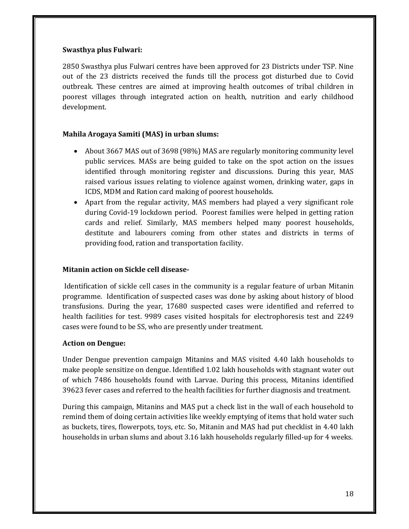#### **Swasthya plus Fulwari:**

2850 Swasthya plus Fulwari centres have been approved for 23 Districts under TSP. Nine out of the 23 districts received the funds till the process got disturbed due to Covid outbreak. These centres are aimed at improving health outcomes of tribal children in poorest villages through integrated action on health, nutrition and early childhood development. 

# **Mahila Arogaya Samiti (MAS) in urban slums:**

- About 3667 MAS out of 3698 (98%) MAS are regularly monitoring community level public services. MASs are being guided to take on the spot action on the issues identified through monitoring register and discussions. During this year, MAS raised various issues relating to violence against women, drinking water, gaps in ICDS, MDM and Ration card making of poorest households.
- Apart from the regular activity, MAS members had played a very significant role during Covid-19 lockdown period. Poorest families were helped in getting ration cards and relief. Similarly, MAS members helped many poorest households, destitute and labourers coming from other states and districts in terms of providing food, ration and transportation facility.

# **Mitanin action on Sickle cell disease‐**

Identification of sickle cell cases in the community is a regular feature of urban Mitanin programme. Identification of suspected cases was done by asking about history of blood transfusions. During the year, 17680 suspected cases were identified and referred to health facilities for test. 9989 cases visited hospitals for electrophoresis test and 2249 cases were found to be SS, who are presently under treatment.

#### **Action on Dengue:**

Under Dengue prevention campaign Mitanins and MAS visited 4.40 lakh households to make people sensitize on dengue. Identified 1.02 lakh households with stagnant water out of which 7486 households found with Larvae. During this process, Mitanins identified 39623 fever cases and referred to the health facilities for further diagnosis and treatment.

During this campaign, Mitanins and MAS put a check list in the wall of each household to remind them of doing certain activities like weekly emptying of items that hold water such as buckets, tires, flowerpots, toys, etc. So, Mitanin and MAS had put checklist in 4.40 lakh households in urban slums and about 3.16 lakh households regularly filled-up for 4 weeks.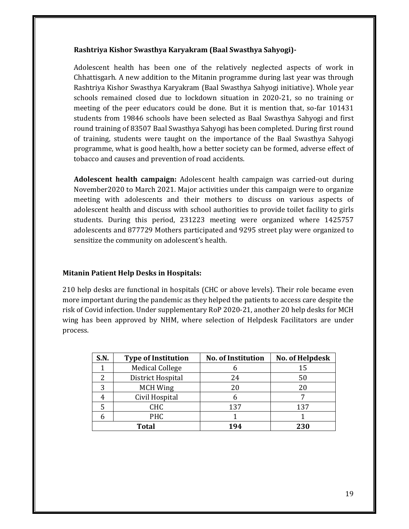#### **Rashtriya Kishor Swasthya Karyakram (Baal Swasthya Sahyogi)‐**

Adolescent health has been one of the relatively neglected aspects of work in Chhattisgarh. A new addition to the Mitanin programme during last year was through Rashtriya Kishor Swasthya Karyakram (Baal Swasthya Sahyogi initiative). Whole year schools remained closed due to lockdown situation in 2020-21, so no training or meeting of the peer educators could be done. But it is mention that, so-far 101431 students from 19846 schools have been selected as Baal Swasthya Sahyogi and first round training of 83507 Baal Swasthya Sahyogi has been completed. During first round of training, students were taught on the importance of the Baal Swasthya Sahyogi programme, what is good health, how a better society can be formed, adverse effect of tobacco and causes and prevention of road accidents.

**Adolescent health campaign:** Adolescent health campaign was carried-out during November2020 to March 2021. Major activities under this campaign were to organize meeting with adolescents and their mothers to discuss on various aspects of adolescent health and discuss with school authorities to provide toilet facility to girls students. During this period, 231223 meeting were organized where 1425757 adolescents and 877729 Mothers participated and 9295 street play were organized to sensitize the community on adolescent's health.

#### **Mitanin Patient Help Desks in Hospitals:**

210 help desks are functional in hospitals (CHC or above levels). Their role became even more important during the pandemic as they helped the patients to access care despite the risk of Covid infection. Under supplementary RoP 2020-21, another 20 help desks for MCH wing has been approved by NHM, where selection of Helpdesk Facilitators are under process. 

| S.N.  | <b>Type of Institution</b> | <b>No. of Institution</b> | No. of Helpdesk |
|-------|----------------------------|---------------------------|-----------------|
|       | <b>Medical College</b>     |                           | 15              |
|       | District Hospital          | 24                        | 50              |
| 3     | <b>MCH Wing</b>            | 20                        | 20              |
|       | Civil Hospital             |                           |                 |
|       | <b>CHC</b>                 | 137                       | 137             |
|       | PHC                        |                           |                 |
| Total |                            | 194                       | 230             |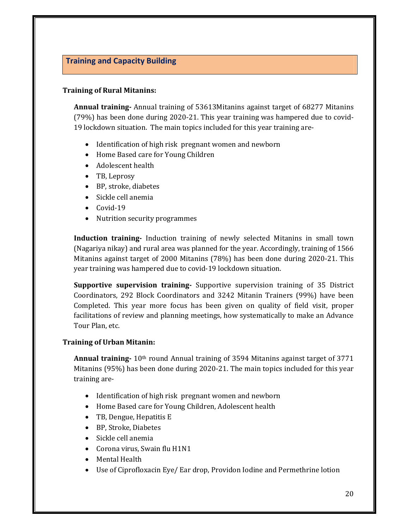# **Training and Capacity Building**

#### **Training of Rural Mitanins:**

**Annual training** Annual training of 53613Mitanins against target of 68277 Mitanins  $(79%)$  has been done during 2020-21. This year training was hampered due to covid-19 lockdown situation. The main topics included for this year training are-

- Identification of high risk pregnant women and newborn
- Home Based care for Young Children
- Adolescent health
- TB, Leprosy
- BP, stroke, diabetes
- Sickle cell anemia
- $\bullet$  Covid-19
- Nutrition security programmes

**Induction training** Induction training of newly selected Mitanins in small town (Nagariya nikay) and rural area was planned for the year. Accordingly, training of 1566 Mitanins against target of 2000 Mitanins  $(78%)$  has been done during 2020-21. This year training was hampered due to covid-19 lockdown situation.

**Supportive supervision training** Supportive supervision training of 35 District Coordinators, 292 Block Coordinators and 3242 Mitanin Trainers (99%) have been Completed. This year more focus has been given on quality of field visit, proper facilitations of review and planning meetings, how systematically to make an Advance Tour Plan, etc.

#### **Training of Urban Mitanin:**

**Annual training** 10<sup>th</sup> round Annual training of 3594 Mitanins against target of 3771 Mitanins  $(95%)$  has been done during 2020-21. The main topics included for this year training are-

- Identification of high risk pregnant women and newborn
- Home Based care for Young Children, Adolescent health
- TB, Dengue, Hepatitis E
- BP, Stroke, Diabetes
- Sickle cell anemia
- Corona virus, Swain flu H1N1
- Mental Health
- Use of Ciprofloxacin Eye/ Ear drop, Providon Iodine and Permethrine lotion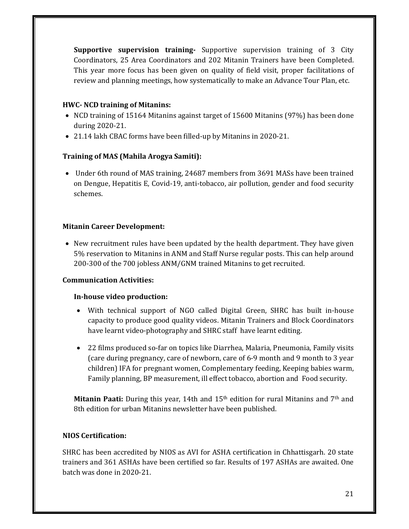**Supportive supervision training** Supportive supervision training of 3 City Coordinators, 25 Area Coordinators and 202 Mitanin Trainers have been Completed. This year more focus has been given on quality of field visit, proper facilitations of review and planning meetings, how systematically to make an Advance Tour Plan, etc.

## **HWC‐ NCD training of Mitanins:**

- NCD training of 15164 Mitanins against target of 15600 Mitanins (97%) has been done during 2020‐21.
- 21.14 lakh CBAC forms have been filled-up by Mitanins in 2020-21.

#### **Training of MAS (Mahila Arogya Samiti):**

• Under 6th round of MAS training, 24687 members from 3691 MASs have been trained on Dengue, Hepatitis E, Covid-19, anti-tobacco, air pollution, gender and food security schemes. 

#### **Mitanin Career Development:**

• New recruitment rules have been updated by the health department. They have given 5% reservation to Mitanins in ANM and Staff Nurse regular posts. This can help around 200-300 of the 700 jobless ANM/GNM trained Mitanins to get recruited.

#### **Communication Activities:**

#### **In‐house video production:**

- With technical support of NGO called Digital Green, SHRC has built in-house capacity to produce good quality videos. Mitanin Trainers and Block Coordinators have learnt video-photography and SHRC staff have learnt editing.
- 22 films produced so-far on topics like Diarrhea, Malaria, Pneumonia, Family visits (care during pregnancy, care of newborn, care of 6-9 month and 9 month to 3 year children) IFA for pregnant women, Complementary feeding, Keeping babies warm, Family planning, BP measurement, ill effect tobacco, abortion and Food security.

**Mitanin Paati:** During this year, 14th and 15<sup>th</sup> edition for rural Mitanins and 7<sup>th</sup> and 8th edition for urban Mitanins newsletter have been published.

#### **NIOS Certification:**

SHRC has been accredited by NIOS as AVI for ASHA certification in Chhattisgarh. 20 state trainers and 361 ASHAs have been certified so far. Results of 197 ASHAs are awaited. One batch was done in 2020-21.